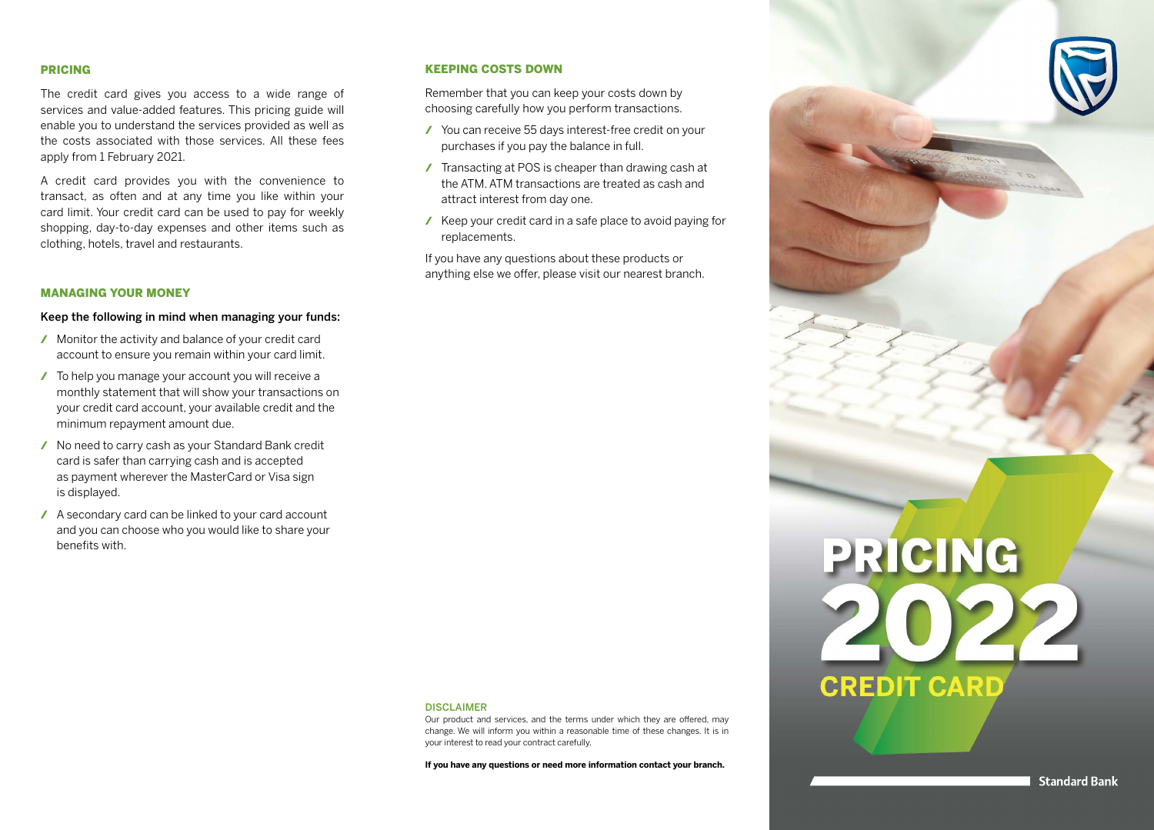#### PRICING

The credit card gives you access to a wide range of services and value-added features. This pricing guide will enable you to understand the services provided as well as the costs associated with those services. All these fees apply from 1 February 2021.

A credit card provides you with the convenience to transact, as often and at any time you like within your card limit. Your credit card can be used to pay for weekly shopping, day-to-day expenses and other items such as clothing, hotels, travel and restaurants.

#### MANAGING YOUR MONEY

#### Keep the following in mind when managing your funds:

- / Monitor the activity and balance of your credit card account to ensure you remain within your card limit.
- / To help you manage your account you will receive a monthly statement that will show your transactions on your credit card account, your available credit and the minimum repayment amount due.
- / No need to carry cash as your Standard Bank credit card is safer than carrying cash and is accepted as payment wherever the MasterCard or Visa sign is displayed.
- / A secondary card can be linked to your card account and you can choose who you would like to share your benefits with.

### KEEPING COSTS DOWN

Remember that you can keep your costs down by choosing carefully how you perform transactions.

- / You can receive 55 days interest-free credit on your purchases if you pay the balance in full.
- / Transacting at POS is cheaper than drawing cash at the ATM. ATM transactions are treated as cash and attract interest from day one.
- / Keep your credit card in a safe place to avoid paying for replacements.

If you have any questions about these products or anything else we offer, please visit our nearest branch.

#### DISCLAIMER

Our product and services, and the terms under which they are offered, may change. We will inform you within a reasonable time of these changes. It is in your interest to read your contract carefully.

**If you have any questions or need more information contact your branch.**

**PRICING**